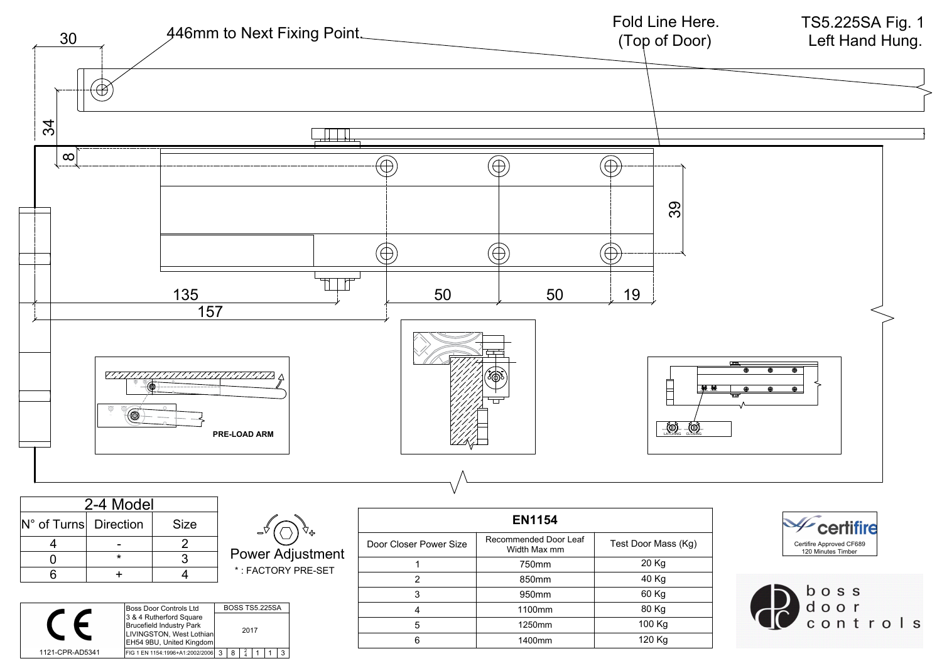## TS5.225SA Fig. 1



| Z-4 MOUCL             |  |             |  |
|-----------------------|--|-------------|--|
| N° of Turns Direction |  | <b>Size</b> |  |
|                       |  |             |  |
|                       |  |             |  |
|                       |  |             |  |

|  | ┥ |
|--|---|
|  |   |

| BOSS TS5.225SA<br>IBoss Door Controls Ltd                       |
|-----------------------------------------------------------------|
|                                                                 |
| 3 & 4 Rutherford Square<br>Brucefield Industry Park<br>2017     |
| LIVINGSTON, West Lothian<br><b>EH54 9BU, United Kingdom</b>     |
| 1121-CPR-AD5341<br>FIG 1 EN 1154:1996+A1:2002/2006<br>્ર<br>. R |

| <b>EN1154</b>          |                                       |                     |
|------------------------|---------------------------------------|---------------------|
| Door Closer Power Size | Recommended Door Leaf<br>Width Max mm | Test Door Mass (Kg) |
|                        | 750mm                                 | 20 Kg               |
| 2                      | 850mm                                 | 40 Kg               |
| 3                      | 950 <sub>mm</sub>                     | 60 Kg               |
| 4                      | 1100mm                                | 80 Kg               |
| 5                      | 1250mm                                | 100 Kg              |
| 6                      | 1400mm                                | 120 Kg              |